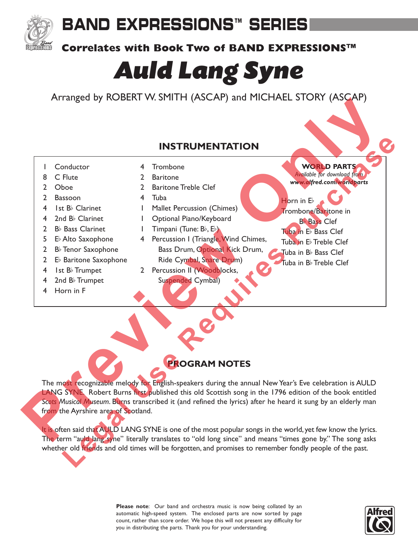

## **Band Expressions™ Series**

## **Correlates with Book Two of BAND EXPRESSIONS™**

# *Auld Lang Syne*

Arranged by ROBERT W. SMITH (ASCAP) and MICHAEL STORY (ASCAP)

#### **INSTRUMENTATION**

- 1 Conductor
- 8 C Flute
- 2 Oboe
- 2 Bassoon
- $4$  Ist B<sub>b</sub> Clarinet
- 4 2nd  $B$  Clarinet
- 2 B<sub>b</sub> Bass Clarinet
- 5 E<sub>b</sub> Alto Saxophone
- 2 B<sub>b</sub> Tenor Saxophone
- 2 E<sub>b</sub> Baritone Saxophone
- 4 Ist  $B$  Trumpet
- 4 2nd  $B\flat$  Trumpet
- 4 Horn in F
- 4 Trombone
- 2 Baritone
- 2 Baritone Treble Clef
- 4 Tuba
- 1 Mallet Percussion (Chimes)
- 1 Optional Piano/Keyboard
- **1** Timpani (Tune:  $B_{\nu}$ ,  $E_{\nu}$ )
- 4 Percussion I (Triangle, Wind Chimes, Bass Drum, Optional Kick Drum, Ride Cymbal, Snare Drum)
- 2 Percussion II (Woodblocks, Suspended Cymbal)

**WORLD PARTS** *Available for download from www.alfred.com/worldparts*

- Horn in E Trombone/Baritone in B% Bass Clef Tuba in E% Bass Clef Tuba in E% Treble Clef Tuba in B<sub>b</sub> Bass Clef
- Tuba in B% Treble Clef

### **PROGRAM NOTES**

The most recognizable melody for English-speakers during the annual New Year's Eve celebration is AULD LANG SYNE. Robert Burns first published this old Scottish song in the 1796 edition of the book entitled *Scots Musical Museum*. Burns transcribed it (and refined the lyrics) after he heard it sung by an elderly man from the Ayrshire area of Scotland. **Primaring Conductor**<br> **Preview Only and Conduct Conduct of the Christian Conduct of the Christian Conduct Conduct Conduct Conduct Conduct Conduct Conduct Conduct Conduct Conduct Conduct Conduct Conduct Conduct Conduct Con LEGAL USE THE CONSTRAIN STANDARY CONSTRAIN SERVICE DEVELOPED AND DEVELOPED AND DEVELOPED AND CONSTRAIN THE BASE CLIP INTO A CONSTRAIN SERVICE CLIP INTO A CONSTRAIN SERVICE CLIP INTO A CONSTRAIN SERVICE CLIP INTO A CONSTRA** 

It is often said that AULD LANG SYNE is one of the most popular songs in the world, yet few know the lyrics. The term "auld lang syne" literally translates to "old long since" and means "times gone by." The song asks whether old friends and old times will be forgotten, and promises to remember fondly people of the past.

> **Please note**: Our band and orchestra music is now being collated by an automatic high-speed system. The enclosed parts are now sorted by page count, rather than score order. We hope this will not present any difficulty for you in distributing the parts. Thank you for your understanding.

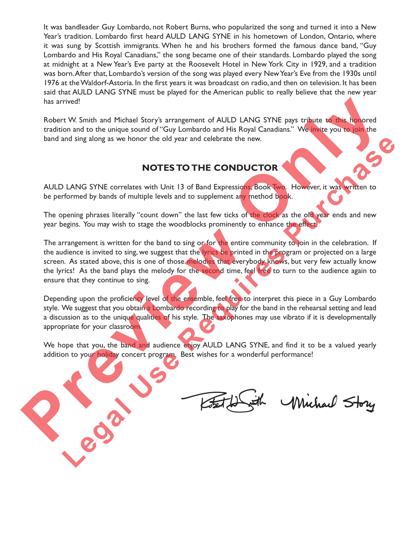It was bandleader Guy Lombardo, not Robert Burns, who popularized the song and turned it into a New Year's tradition. Lombardo first heard AULD LANG SYNE in his hometown of London, Ontario, where it was sung by Scottish immigrants. When he and his brothers formed the famous dance band, "Guy Lombardo and His Royal Canadians," the song became one of their standards. Lombardo played the song at midnight at a New Year's Eve party at the Roosevelt Hotel in New York City in 1929, and a tradition was born.After that, Lombardo's version of the song was played every NewYear's Eve from the 1930s until 1976 at theWaldorf-Astoria. In the first years it was broadcast on radio, and then on television. It has been said that AULD LANG SYNE must be played for the American public to really believe that the new year has arrived!

Robert W. Smith and Michael Story's arrangement of AULD LANG SYNE pays tribute to this honored tradition and to the unique sound of "Guy Lombardo and His Royal Canadians." We invite you to join the band and sing along as we honor the old year and celebrate the new.

#### **NOTES TO THE CONDUCTOR**

AULD LANG SYNE correlates with Unit 13 of Band Expressions, Book Two. However, it was written to be performed by bands of multiple levels and to supplement any method book.

The opening phrases literally "count down" the last few ticks of the clock as the old year ends and new year begins. You may wish to stage the woodblocks prominently to enhance the effect.

The arrangement is written for the band to sing or for the entire community to join in the celebration. If the audience is invited to sing, we suggest that the lyrics be printed in the program or projected on a large screen. As stated above, this is one of those melodies that everybody knows, but very few actually know the lyrics! As the band plays the melody for the second time, feel free to turn to the audience again to ensure that they continue to sing. has arrived!<br>
Robert W. Smith and Michael Story's arrangement of AULD LANG SYNE pays trained and<br>
Frederic W. Smith and diffused only of "Guy Lombardo and His Royal Candidns." We make you we have<br>
tradition and to the uniq and sing along as we honor the old year and celebrate the new.<br> **LANG SYNE** correlates with Unit 13 of Band Expressions Book. The House is was deviced from the completion of the three completions of the completion of the c

Depending upon the proficiency level of the ensemble, feel free to interpret this piece in a Guy Lombardo style. We suggest that you obtain a Lombardo recording to play for the band in the rehearsal setting and lead a discussion as to the unique qualities of his style. The saxophones may use vibrato if it is developmentally appropriate for your classroom.

We hope that you, the band and audience enjoy AULD LANG SYNE, and find it to be a valued yearly addition to your holiday concert program. Best wishes for a wonderful performance!

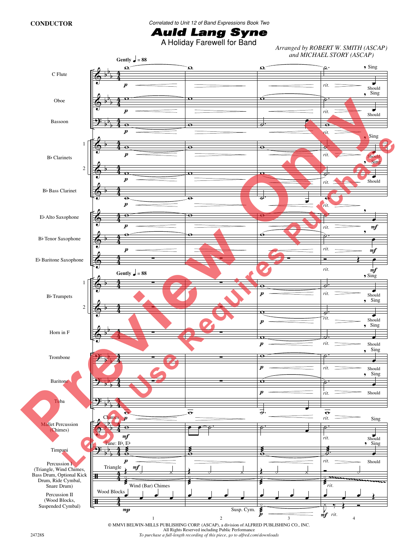**CONDUCTOR** *Correlated to Unit 12 of Band Expressions Book Two*

**Auld Lang Syne**<br>A Holiday Farewell for Band

Arranged by ROBERT W. SMITH (ASCAP) *and MICHAEL STORY (ASCAP)*



All Rights Reserved including Public Performance *To purchase a full-length recording of this piece, go to alfred.com/downloads*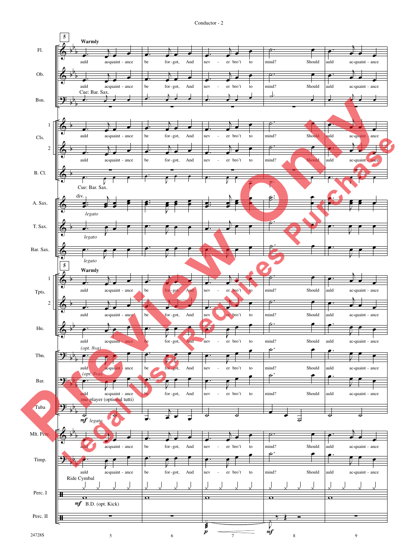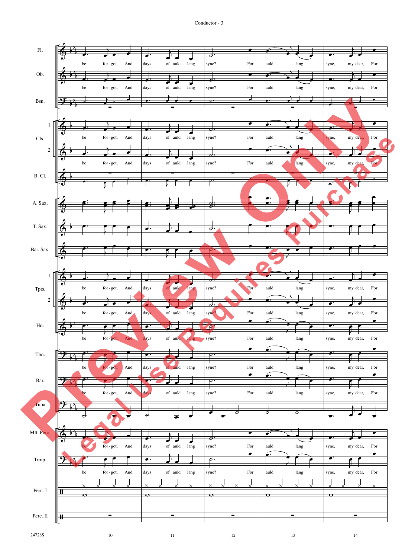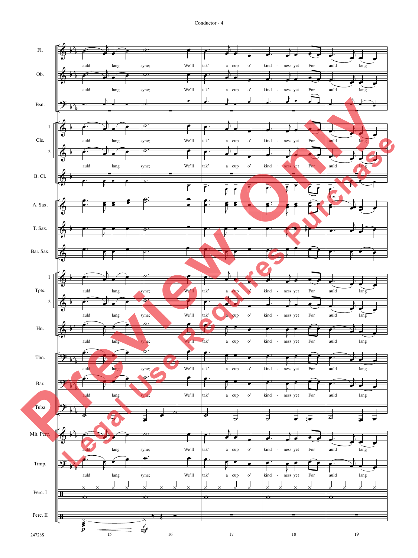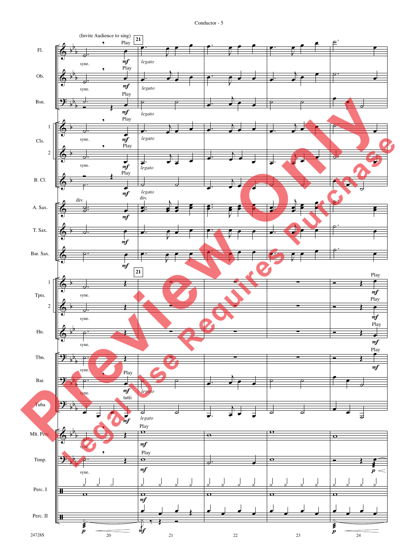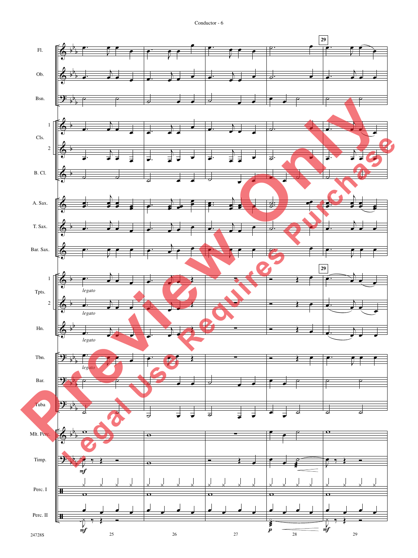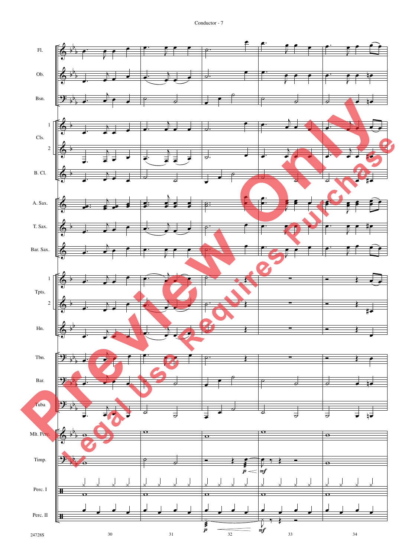